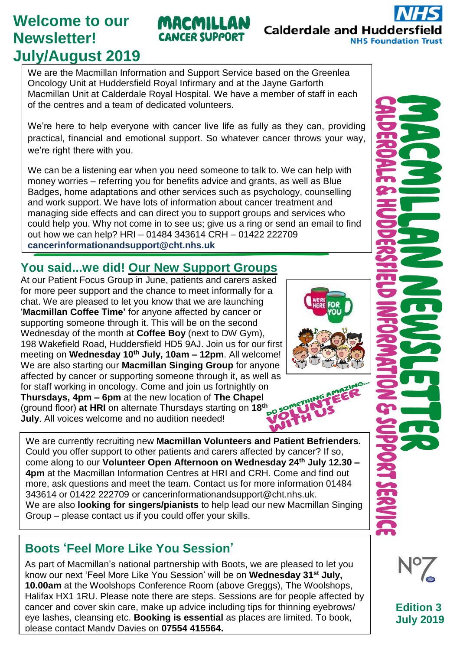# **Welcome to our Newsletter! July/August 2019**

We are the Macmillan Information and Support Service based on the Greenlea Oncology Unit at Huddersfield Royal Infirmary and at the Jayne Garforth Macmillan Unit at Calderdale Royal Hospital. We have a member of staff in each of the centres and a team of dedicated volunteers.

We're here to help everyone with cancer live life as fully as they can, providing practical, financial and emotional support. So whatever cancer throws your way, we're right there with you.

We can be a listening ear when you need someone to talk to. We can help with money worries – referring you for benefits advice and grants, as well as Blue Badges, home adaptations and other services such as psychology, counselling and work support. We have lots of information about cancer treatment and managing side effects and can direct you to support groups and services who could help you. Why not come in to see us; give us a ring or send an email to find out how we can help? HRI – 01484 343614 CRH – 01422 222709 **cance[rinformationandsupport@cht.nhs.uk](mailto:informationandsupport@cht.nhs.uk)**

## **You said...we did! Our New Support Groups**

At our Patient Focus Group in June, patients and carers asked for more peer support and the chance to meet informally for a chat. We are pleased to let you know that we are launching '**Macmillan Coffee Time'** for anyone affected by cancer or supporting someone through it. This will be on the second Wednesday of the month at **Coffee Boy** (next to DW Gym), 198 Wakefield Road, Huddersfield HD5 9AJ. Join us for our first meeting on **Wednesday 10th July, 10am – 12pm**. All welcome! We are also starting our **Macmillan Singing Group** for anyone affected by cancer or supporting someone through it, as well as for staff working in oncology. Come and join us fortnightly on **Thursdays, 4pm – 6pm** at the new location of **The Chapel** (ground floor) **at HRI** on alternate Thursdays starting on **18th July**. All voices welcome and no audition needed!

We are currently recruiting new **Macmillan Volunteers and Patient Befrienders.** Could you offer support to other patients and carers affected by cancer? If so, come along to our **Volunteer Open Afternoon on Wednesday 24th July 12.30 – 4pm** at the Macmillan Information Centres at HRI and CRH. Come and find out more, ask questions and meet the team. Contact us for more information 01484 343614 or 01422 222709 or [cancerinformationandsupport@cht.nhs.uk.](mailto:cancerinformationandsupport@cht.nhs.uk) We are also **looking for singers/pianists** to help lead our new Macmillan Singing Group – please contact us if you could offer your skills.

#### Please contact us if you wish to **sign up to receive this newsletter** by email or post. **Boots 'Feel More Like You Session'**

As part of Macmillan's national partnership with Boots, we are pleased to let you know our next 'Feel More Like You Session' will be on **Wednesday 31st July, 10.00am** at the Woolshops Conference Room (above Greggs), The Woolshops, Halifax HX1 1RU. Please note there are steps. Sessions are for people affected by cancer and cover skin care, make up advice including tips for thinning eyebrows/ eye lashes, cleansing etc. **Booking is essential** as places are limited. To book, please contact Mandy Davies on **07554 415564.**

### MACMILLAN **CANCER SUPPORT**







**Edition 3 July 2019**



**NHS Foundation Trust**